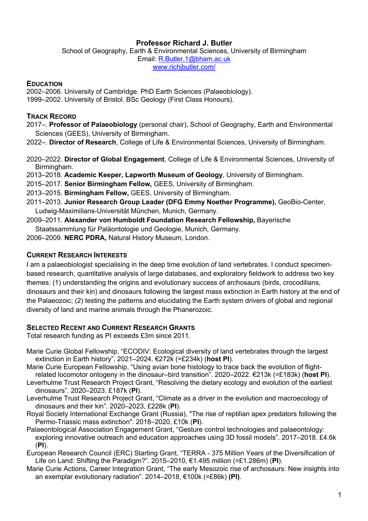# **Professor Richard J. Butler**

School of Geography, Earth & Environmental Sciences, University of Birmingham Email: R.Butler.1@bham.ac.uk www.richjbutler.com/

#### **EDUCATION**

2002–2006. University of Cambridge. PhD Earth Sciences (Palaeobiology). 1999–2002. University of Bristol. BSc Geology (First Class Honours).

### **TRACK RECORD**

2017–. **Professor of Palaeobiology** (personal chair), School of Geography, Earth and Environmental Sciences (GEES), University of Birmingham.

2022–. **Director of Research**, College of Life & Environmental Sciences, University of Birmingham.

2020–2022. **Director of Global Engagement**, College of Life & Environmental Sciences, University of Birmingham.

2013–2018. **Academic Keeper, Lapworth Museum of Geology**, University of Birmingham.

2015–2017. **Senior Birmingham Fellow,** GEES, University of Birmingham.

2013–2015. **Birmingham Fellow,** GEES, University of Birmingham.

- 2011–2013. **Junior Research Group Leader (DFG Emmy Noether Programme),** GeoBio-Center, Ludwig-Maximilians-Universität München, Munich, Germany.
- 2009–2011*.* **Alexander von Humboldt Foundation Research Fellowship,** Bayerische Staatssammlung für Paläontologie und Geologie, Munich, Germany.

2006–2009. **NERC PDRA,** Natural History Museum, London.

## **CURRENT RESEARCH INTERESTS**

I am a palaeobiologist specialising in the deep time evolution of land vertebrates. I conduct specimenbased research, quantitative analysis of large databases, and exploratory fieldwork to address two key themes: (1) understanding the origins and evolutionary success of archosaurs (birds, crocodilians, dinosaurs and their kin) and dinosaurs following the largest mass extinction in Earth history at the end of the Palaeozoic; (2) testing the patterns and elucidating the Earth system drivers of global and regional diversity of land and marine animals through the Phanerozoic.

### **SELECTED RECENT AND CURRENT RESEARCH GRANTS**

Total research funding as PI exceeds £3m since 2011.

- Marie Curie Global Fellowship, "ECODIV: Ecological diversity of land vertebrates through the largest extinction in Earth history". 2021–2024. €272k (=£234k) (**host PI**).
- Marie Curie European Fellowship, "Using avian bone histology to trace back the evolution of flightrelated locomotor ontogeny in the dinosaur–bird transition". 2020–2022. €213k (=£183k) (**host PI**).
- Leverhulme Trust Research Project Grant, "Resolving the dietary ecology and evolution of the earliest dinosaurs". 2020–2023. £187k (**PI**).
- Leverhulme Trust Research Project Grant, "Climate as a driver in the evolution and macroecology of dinosaurs and their kin". 2020–2023, £228k (**PI**).
- Royal Society International Exchange Grant (Russia), "The rise of reptilian apex predators following the Permo-Triassic mass extinction". 2018–2020, £10k (**PI**).
- Palaeontological Association Engagement Grant, "Gesture control technologies and palaeontology: exploring innovative outreach and education approaches using 3D fossil models". 2017–2018. £4.6k (**PI**).
- European Research Council (ERC) Starting Grant, "TERRA 375 Million Years of the Diversification of Life on Land: Shifting the Paradigm?". 2015–2010, €1.495 million (=£1.286m) (**PI**).
- Marie Curie Actions, Career Integration Grant, "The early Mesozoic rise of archosaurs: New insights into an exemplar evolutionary radiation". 2014–2018, €100k (=£86k) **(PI)**.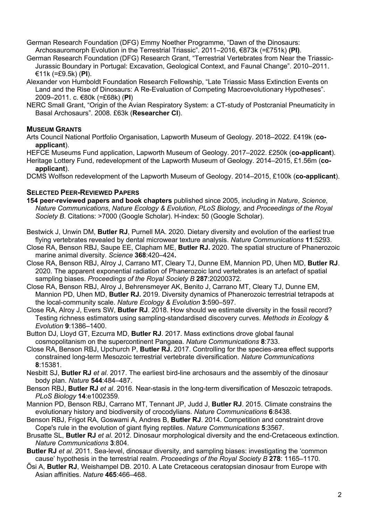German Research Foundation (DFG) Emmy Noether Programme, "Dawn of the Dinosaurs: Archosauromorph Evolution in the Terrestrial Triassic". 2011–2016, €873k (=£751k) **(PI)**.

- German Research Foundation (DFG) Research Grant, "Terrestrial Vertebrates from Near the Triassic-Jurassic Boundary in Portugal: Excavation, Geological Context, and Faunal Change". 2010–2011. €11k (=£9.5k) (**PI**).
- Alexander von Humboldt Foundation Research Fellowship, "Late Triassic Mass Extinction Events on Land and the Rise of Dinosaurs: A Re-Evaluation of Competing Macroevolutionary Hypotheses". 2009–2011. c. €80k (=£68k) (**PI**)
- NERC Small Grant, "Origin of the Avian Respiratory System: a CT-study of Postcranial Pneumaticity in Basal Archosaurs". 2008. £63k (**Researcher CI**).

### **MUSEUM GRANTS**

Arts Council National Portfolio Organisation, Lapworth Museum of Geology. 2018–2022. £419k (**coapplicant**).

HEFCE Museums Fund application, Lapworth Museum of Geology. 2017–2022. £250k (**co-applicant**).

Heritage Lottery Fund, redevelopment of the Lapworth Museum of Geology. 2014–2015, £1.56m (**coapplicant**).

DCMS Wolfson redevelopment of the Lapworth Museum of Geology. 2014–2015, £100k (**co-applicant**).

## **SELECTED PEER-REVIEWED PAPERS**

- **154 peer-reviewed papers and book chapters** published since 2005, including in *Nature*, *Science*, *Nature Communications*, *Nature Ecology & Evolution*, *PLoS Biology,* and *Proceedings of the Royal Society B*. Citations: >7000 (Google Scholar). H-index: 50 (Google Scholar).
- Bestwick J, Unwin DM, **Butler RJ**, Purnell MA. 2020. Dietary diversity and evolution of the earliest true flying vertebrates revealed by dental microwear texture analysis. *Nature Communications* **11**:5293.
- Close RA, Benson RBJ, Saupe EE, Clapham ME, **Butler RJ.** 2020. The spatial structure of Phanerozoic marine animal diversity. *Science* **368**:420–424**.**
- Close RA, Benson RBJ, Alroy J, Carrano MT, Cleary TJ, Dunne EM, Mannion PD, Uhen MD, **Butler RJ**. 2020. The apparent exponential radiation of Phanerozoic land vertebrates is an artefact of spatial sampling biases. *Proceedings of the Royal Society B* **287**:20200372.
- Close RA, Benson RBJ, Alroy J, Behrensmeyer AK, Benito J, Carrano MT, Cleary TJ, Dunne EM, Mannion PD, Uhen MD, **Butler RJ.** 2019. Diversity dynamics of Phanerozoic terrestrial tetrapods at the local-community scale. *Nature Ecology & Evolution* **3**:590–597.
- Close RA, Alroy J, Evers SW, **Butler RJ**. 2018. How should we estimate diversity in the fossil record? Testing richness estimators using sampling-standardised discovery curves. *Methods in Ecology & Evolution* **9**:1386–1400.
- Button DJ, Lloyd GT, Ezcurra MD, **Butler RJ**. 2017. Mass extinctions drove global faunal cosmopolitanism on the supercontinent Pangaea. *Nature Communications* **8**:733.
- Close RA, Benson RBJ, Upchurch P, **Butler RJ.** 2017. Controlling for the species-area effect supports constrained long-term Mesozoic terrestrial vertebrate diversification. *Nature Communications* **8**:15381.
- Nesbitt SJ, **Butler RJ** *et al*. 2017. The earliest bird-line archosaurs and the assembly of the dinosaur body plan. *Nature* **544**:484–487.
- Benson RBJ, **Butler RJ** *et al*. 2016. Near-stasis in the long-term diversification of Mesozoic tetrapods. *PLoS Biology* **14**:e1002359.
- Mannion PD, Benson RBJ, Carrano MT, Tennant JP, Judd J, **Butler RJ**. 2015. Climate constrains the evolutionary history and biodiversity of crocodylians. *Nature Communications* **6**:8438.
- Benson RBJ, Frigot RA, Goswami A, Andres B, **Butler RJ**. 2014. Competition and constraint drove Cope's rule in the evolution of giant flying reptiles. *Nature Communications* **5**:3567.
- Brusatte SL, **Butler RJ** *et al*. 2012. Dinosaur morphological diversity and the end-Cretaceous extinction. *Nature Communications* **3**:804.
- **Butler RJ** *et al*. 2011. Sea-level, dinosaur diversity, and sampling biases: investigating the 'common cause' hypothesis in the terrestrial realm. *Proceedings of the Royal Society B* **278**: 1165–1170.
- Ősi A, **Butler RJ**, Weishampel DB. 2010. A Late Cretaceous ceratopsian dinosaur from Europe with Asian affinities. *Nature* **465**:466–468.